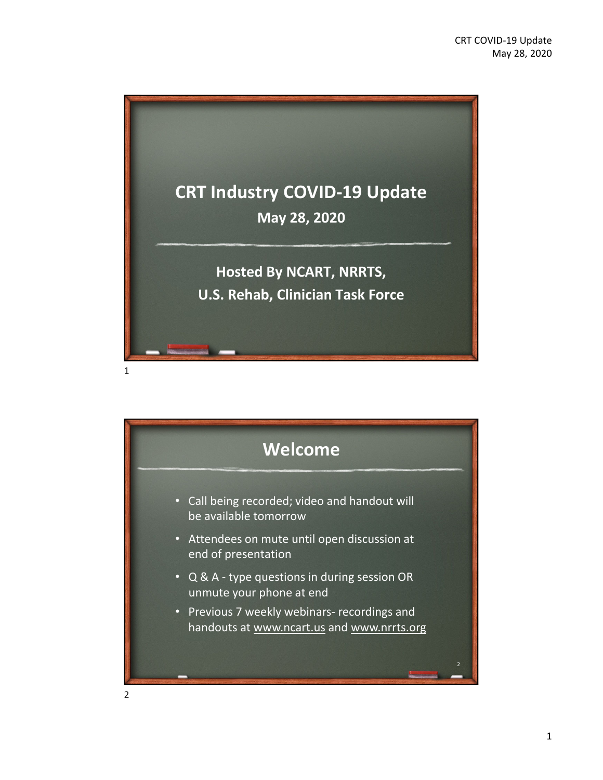

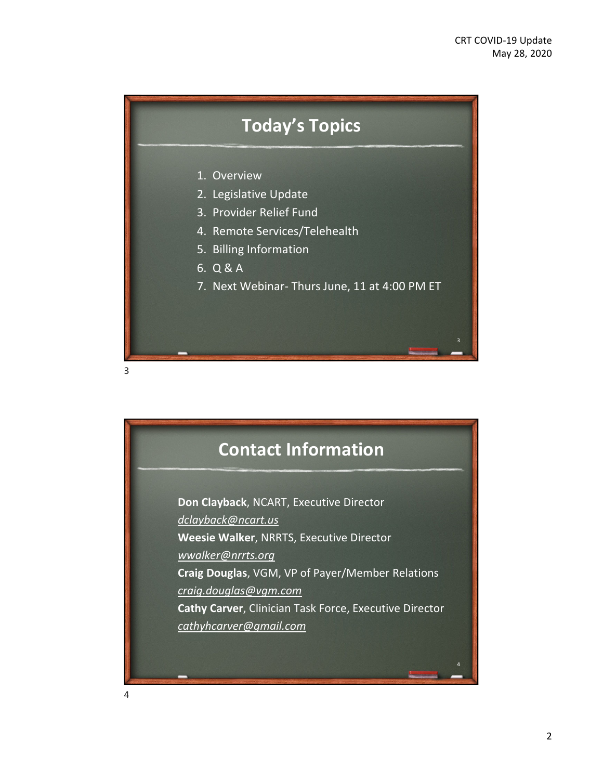

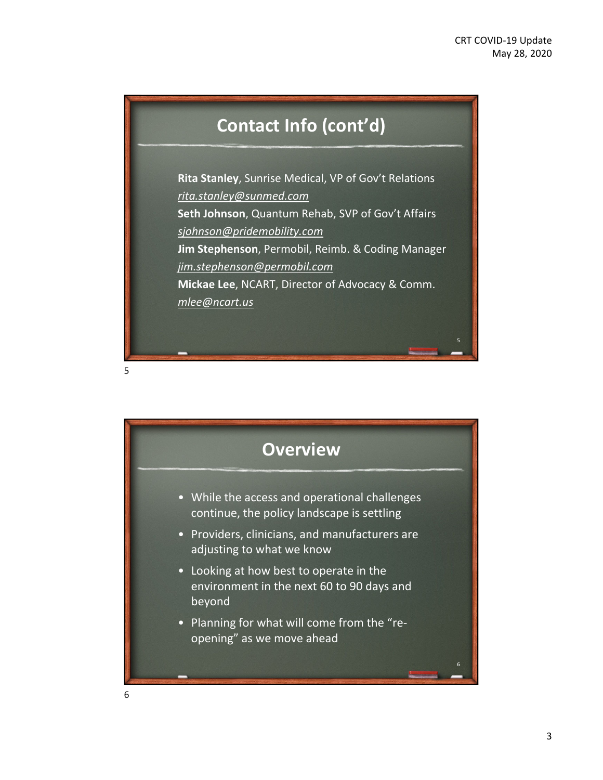# **Contact Info (cont'd)**

**Rita Stanley**, Sunrise Medical, VP of Gov't Relations *rita.stanley@sunmed.com* **Seth Johnson**, Quantum Rehab, SVP of Gov't Affairs *sjohnson@pridemobility.com* **Jim Stephenson**, Permobil, Reimb. & Coding Manager *jim.stephenson@permobil.com* **Mickae Lee**, NCART, Director of Advocacy & Comm. *mlee@ncart.us*

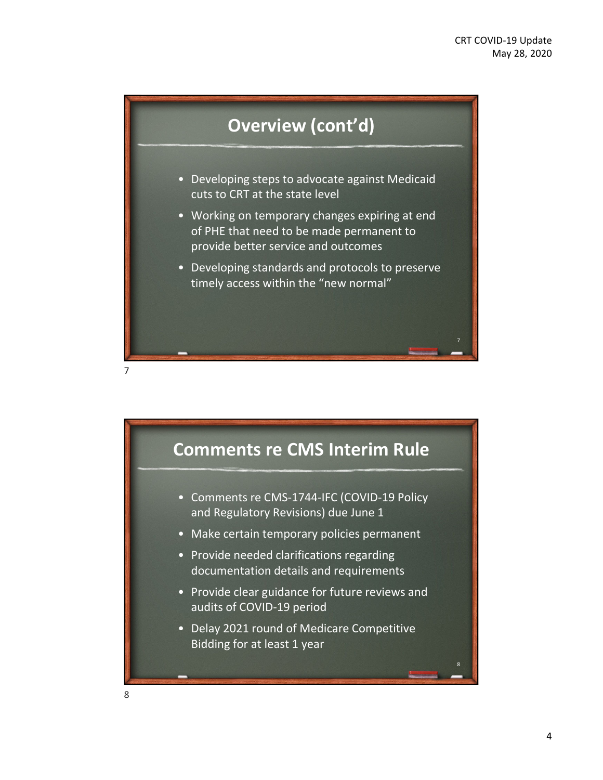

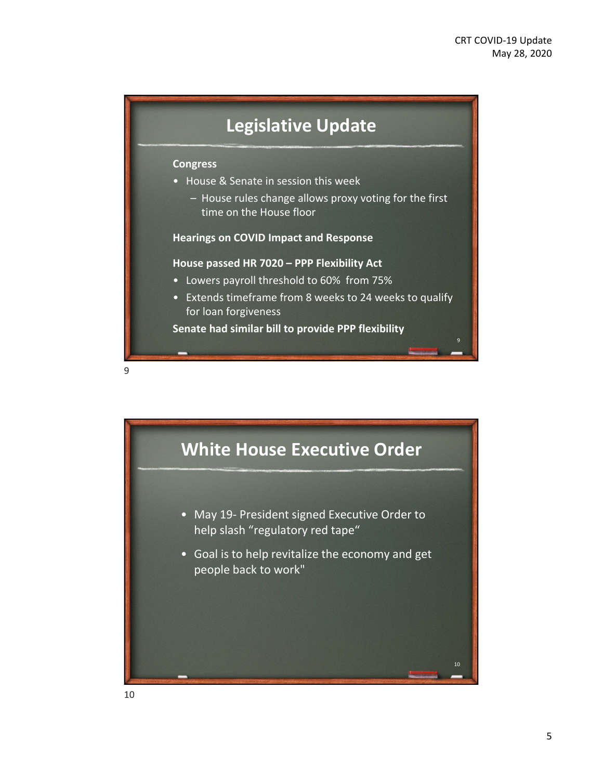## **Legislative Update**

#### **Congress**

- House & Senate in session this week
	- House rules change allows proxy voting for the first time on the House floor

### **Hearings on COVID Impact and Response**

#### **House passed HR 7020 – PPP Flexibility Act**

- Lowers payroll threshold to 60% from 75%
- Extends timeframe from 8 weeks to 24 weeks to qualify for loan forgiveness

**Senate had similar bill to provide PPP flexibility**



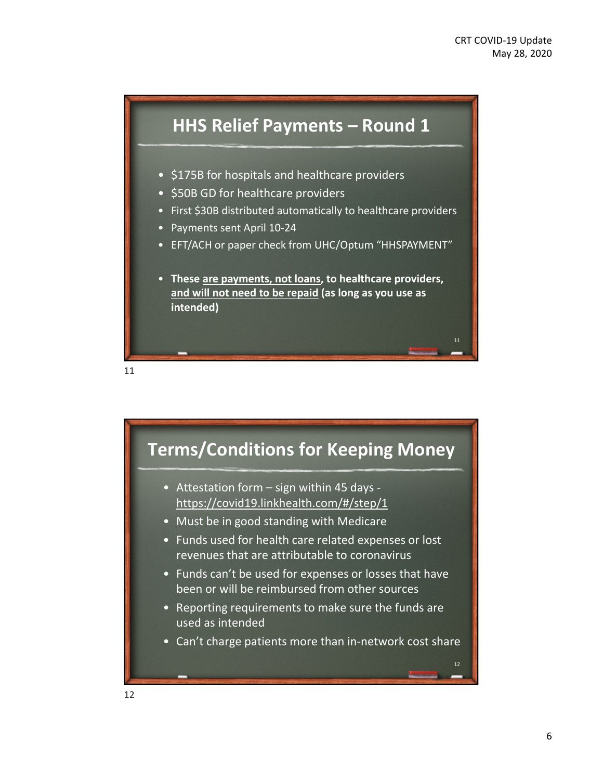

- \$175B for hospitals and healthcare providers
- \$50B GD for healthcare providers
- First \$30B distributed automatically to healthcare providers
- Payments sent April 10‐24
- EFT/ACH or paper check from UHC/Optum "HHSPAYMENT"
- **These are payments, not loans, to healthcare providers, and will not need to be repaid (as long as you use as intended)**



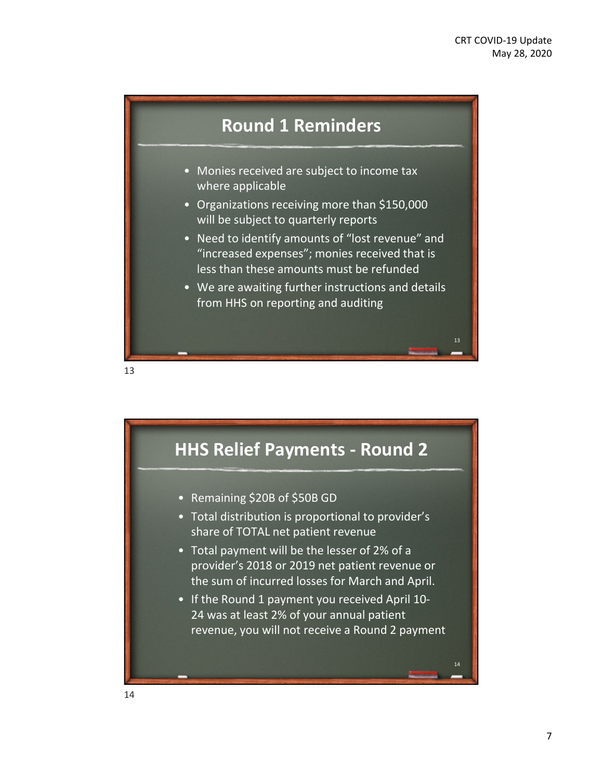

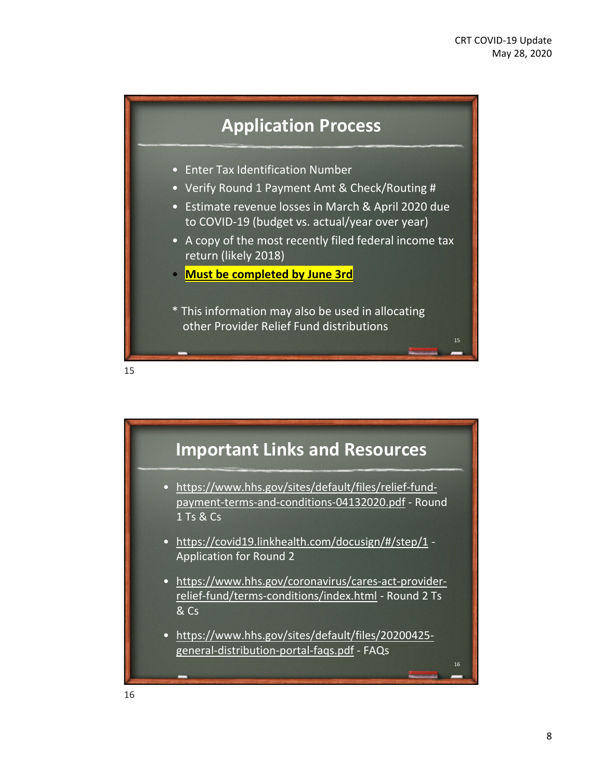



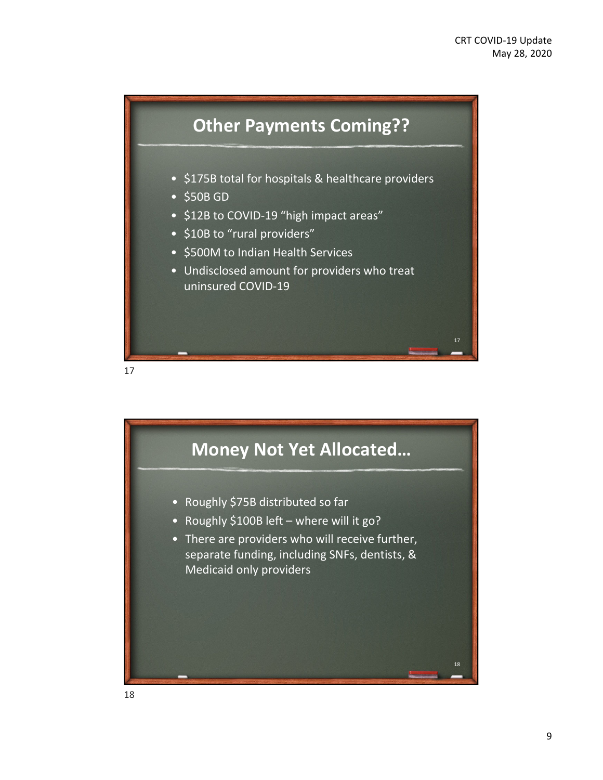

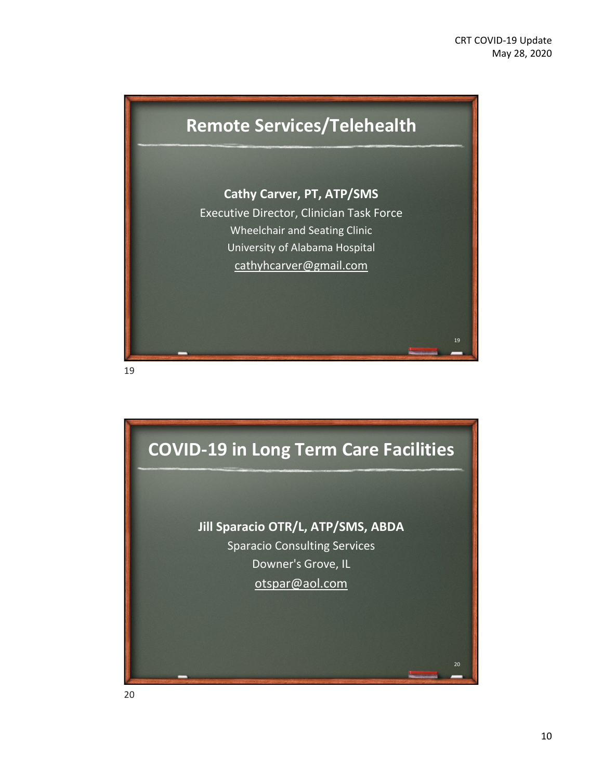

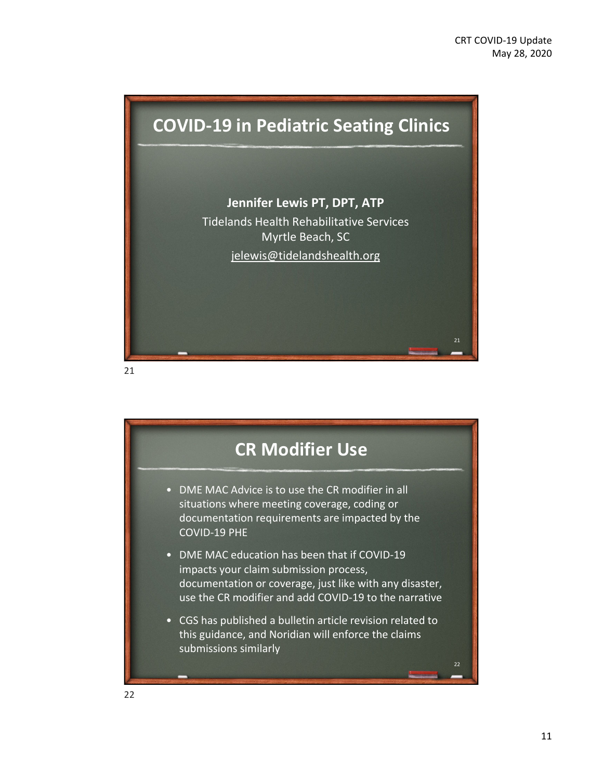

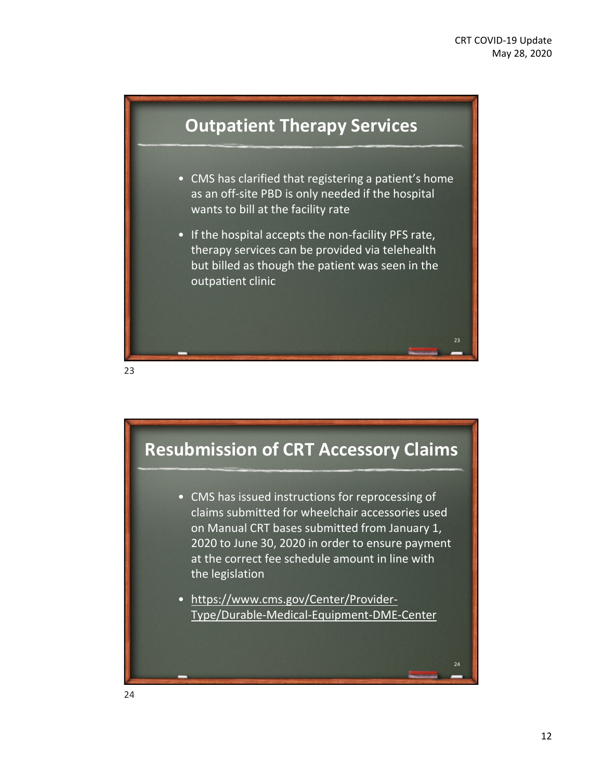

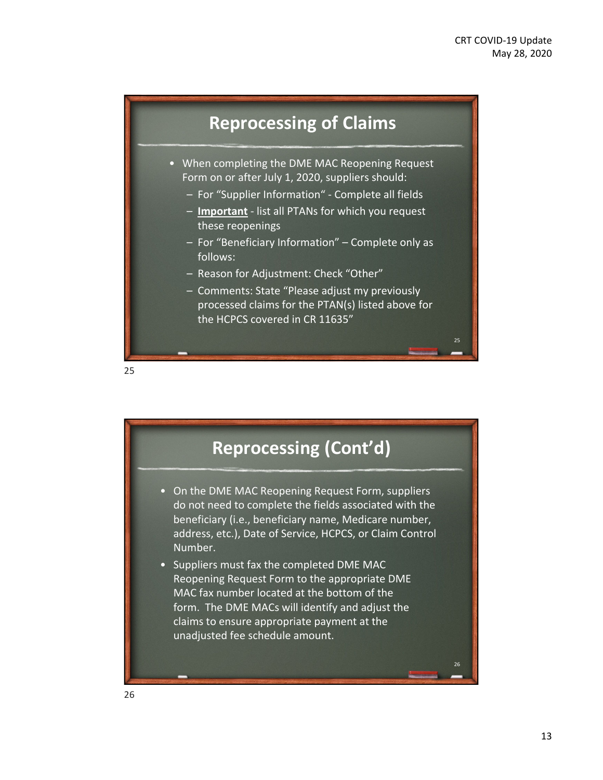